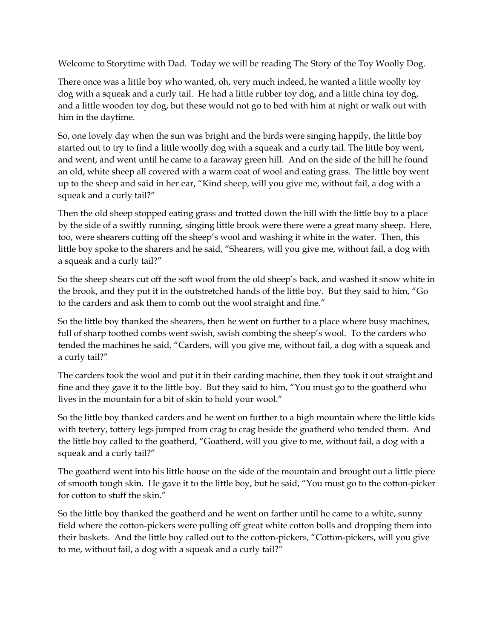Welcome to Storytime with Dad. Today we will be reading The Story of the Toy Woolly Dog.

There once was a little boy who wanted, oh, very much indeed, he wanted a little woolly toy dog with a squeak and a curly tail. He had a little rubber toy dog, and a little china toy dog, and a little wooden toy dog, but these would not go to bed with him at night or walk out with him in the daytime.

So, one lovely day when the sun was bright and the birds were singing happily, the little boy started out to try to find a little woolly dog with a squeak and a curly tail. The little boy went, and went, and went until he came to a faraway green hill. And on the side of the hill he found an old, white sheep all covered with a warm coat of wool and eating grass. The little boy went up to the sheep and said in her ear, "Kind sheep, will you give me, without fail, a dog with a squeak and a curly tail?"

Then the old sheep stopped eating grass and trotted down the hill with the little boy to a place by the side of a swiftly running, singing little brook were there were a great many sheep. Here, too, were shearers cutting off the sheep's wool and washing it white in the water. Then, this little boy spoke to the sharers and he said, "Shearers, will you give me, without fail, a dog with a squeak and a curly tail?"

So the sheep shears cut off the soft wool from the old sheep's back, and washed it snow white in the brook, and they put it in the outstretched hands of the little boy. But they said to him, "Go to the carders and ask them to comb out the wool straight and fine."

So the little boy thanked the shearers, then he went on further to a place where busy machines, full of sharp toothed combs went swish, swish combing the sheep's wool. To the carders who tended the machines he said, "Carders, will you give me, without fail, a dog with a squeak and a curly tail?"

The carders took the wool and put it in their carding machine, then they took it out straight and fine and they gave it to the little boy. But they said to him, "You must go to the goatherd who lives in the mountain for a bit of skin to hold your wool."

So the little boy thanked carders and he went on further to a high mountain where the little kids with teetery, tottery legs jumped from crag to crag beside the goatherd who tended them. And the little boy called to the goatherd, "Goatherd, will you give to me, without fail, a dog with a squeak and a curly tail?"

The goatherd went into his little house on the side of the mountain and brought out a little piece of smooth tough skin. He gave it to the little boy, but he said, "You must go to the cotton-picker for cotton to stuff the skin."

So the little boy thanked the goatherd and he went on farther until he came to a white, sunny field where the cotton-pickers were pulling off great white cotton bolls and dropping them into their baskets. And the little boy called out to the cotton-pickers, "Cotton-pickers, will you give to me, without fail, a dog with a squeak and a curly tail?"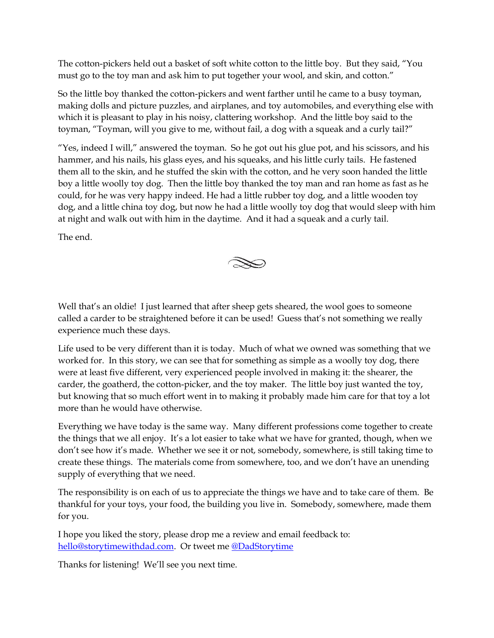The cotton-pickers held out a basket of soft white cotton to the little boy. But they said, "You must go to the toy man and ask him to put together your wool, and skin, and cotton."

So the little boy thanked the cotton-pickers and went farther until he came to a busy toyman, making dolls and picture puzzles, and airplanes, and toy automobiles, and everything else with which it is pleasant to play in his noisy, clattering workshop. And the little boy said to the toyman, "Toyman, will you give to me, without fail, a dog with a squeak and a curly tail?"

"Yes, indeed I will," answered the toyman. So he got out his glue pot, and his scissors, and his hammer, and his nails, his glass eyes, and his squeaks, and his little curly tails. He fastened them all to the skin, and he stuffed the skin with the cotton, and he very soon handed the little boy a little woolly toy dog. Then the little boy thanked the toy man and ran home as fast as he could, for he was very happy indeed. He had a little rubber toy dog, and a little wooden toy dog, and a little china toy dog, but now he had a little woolly toy dog that would sleep with him at night and walk out with him in the daytime. And it had a squeak and a curly tail.

The end.



Life used to be very different than it is today. Much of what we owned was something that we worked for. In this story, we can see that for something as simple as a woolly toy dog, there were at least five different, very experienced people involved in making it: the shearer, the carder, the goatherd, the cotton-picker, and the toy maker. The little boy just wanted the toy, but knowing that so much effort went in to making it probably made him care for that toy a lot more than he would have otherwise.

Everything we have today is the same way. Many different professions come together to create the things that we all enjoy. It's a lot easier to take what we have for granted, though, when we don't see how it's made. Whether we see it or not, somebody, somewhere, is still taking time to create these things. The materials come from somewhere, too, and we don't have an unending supply of everything that we need.

The responsibility is on each of us to appreciate the things we have and to take care of them. Be thankful for your toys, your food, the building you live in. Somebody, somewhere, made them for you.

I hope you liked the story, please drop me a review and email feedback to: [hello@storytimewithdad.com.](mailto:hello@storytimewithdad.com) Or tweet me [@DadStorytime](https://twitter.com/DadStorytime)

Thanks for listening! We'll see you next time.